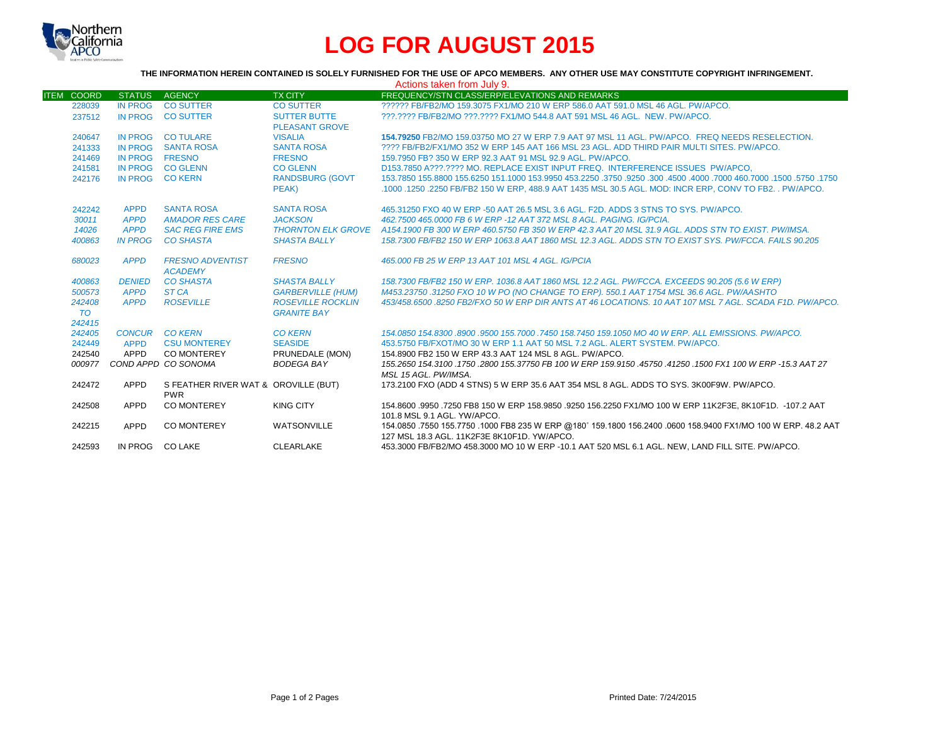

# **LOG FOR AUGUST 2015**

# **THE INFORMATION HEREIN CONTAINED IS SOLELY FURNISHED FOR THE USE OF APCO MEMBERS. ANY OTHER USE MAY CONSTITUTE COPYRIGHT INFRINGEMENT.**

| Actions taken from July 9. |                 |                                                    |                          |                                                                                                                                                              |  |  |  |
|----------------------------|-----------------|----------------------------------------------------|--------------------------|--------------------------------------------------------------------------------------------------------------------------------------------------------------|--|--|--|
| <b>ITEM COORD</b>          | <b>STATUS</b>   | <b>AGENCY</b>                                      | <b>TX CITY</b>           | FREQUENCY/STN CLASS/ERP/ELEVATIONS AND REMARKS                                                                                                               |  |  |  |
| 228039                     | <b>IN PROG</b>  | <b>CO SUTTER</b>                                   | <b>CO SUTTER</b>         | 222222 FB/FB2/MO 159.3075 FX1/MO 210 W ERP 586.0 AAT 591.0 MSL 46 AGL, PW/APCO.                                                                              |  |  |  |
| 237512                     | <b>IN PROG</b>  | <b>CO SUTTER</b>                                   | <b>SUTTER BUTTE</b>      | ???.???? FB/FB2/MO ???.???? FX1/MO 544.8 AAT 591 MSL 46 AGL. NEW. PW/APCO.                                                                                   |  |  |  |
|                            |                 |                                                    | <b>PLEASANT GROVE</b>    |                                                                                                                                                              |  |  |  |
| 240647                     |                 | IN PROG CO TULARE                                  | <b>VISALIA</b>           | 154.79250 FB2/MO 159.03750 MO 27 W ERP 7.9 AAT 97 MSL 11 AGL. PW/APCO. FREQ NEEDS RESELECTION.                                                               |  |  |  |
| 241333                     | IN PROG         | <b>SANTA ROSA</b>                                  | <b>SANTA ROSA</b>        | ???? FB/FB2/FX1/MO 352 W ERP 145 AAT 166 MSL 23 AGL. ADD THIRD PAIR MULTI SITES, PW/APCO.                                                                    |  |  |  |
| 241469                     | IN PROG FRESNO  |                                                    | <b>FRESNO</b>            | 159.7950 FB? 350 W ERP 92.3 AAT 91 MSL 92.9 AGL, PW/APCO.                                                                                                    |  |  |  |
| 241581                     | <b>IN PROG</b>  | <b>CO GLENN</b>                                    | <b>CO GLENN</b>          | D153.7850 A???.???? MO. REPLACE EXIST INPUT FREQ. INTERFERENCE ISSUES PW/APCO.                                                                               |  |  |  |
| 242176                     | IN PROG CO KERN |                                                    | <b>RANDSBURG (GOVT</b>   | 1750, 1750, 1500, 1600, 1000 1600, 1000 14500 1600, 1750 1750, 1750 153,9950 161,1000 153,9950 155,6250 155,6250                                             |  |  |  |
|                            |                 |                                                    | PEAK)                    | .1000 .1250 .2250 FB/FB2 150 W ERP. 488.9 AAT 1435 MSL 30.5 AGL. MOD: INCR ERP. CONV TO FB2. . PW/APCO.                                                      |  |  |  |
| 242242                     | <b>APPD</b>     | <b>SANTA ROSA</b>                                  | <b>SANTA ROSA</b>        | 465,31250 FXO 40 W ERP -50 AAT 26.5 MSL 3.6 AGL, F2D, ADDS 3 STNS TO SYS, PW/APCO,                                                                           |  |  |  |
| 30011                      | <b>APPD</b>     | <b>AMADOR RES CARE</b>                             | <b>JACKSON</b>           | 462.7500 465.0000 FB 6 W ERP -12 AAT 372 MSL 8 AGL. PAGING, IG/PCIA.                                                                                         |  |  |  |
| 14026                      | <b>APPD</b>     | <b>SAC REG FIRE EMS</b>                            |                          | THORNTON ELK GROVE A154.1900 FB 300 W ERP 460.5750 FB 350 W ERP 42.3 AAT 20 MSL 31.9 AGL. ADDS STN TO EXIST. PW/IMSA.                                        |  |  |  |
| 400863                     | <b>IN PROG</b>  | <b>CO SHASTA</b>                                   | <b>SHASTA BALLY</b>      | 158.7300 FB/FB2 150 W ERP 1063.8 AAT 1860 MSL 12.3 AGL. ADDS STN TO EXIST SYS. PW/FCCA. FAILS 90.205                                                         |  |  |  |
| 680023                     | <b>APPD</b>     | <b>FRESNO ADVENTIST</b><br><b>ACADEMY</b>          | <b>FRESNO</b>            | 465,000 FB 25 W ERP 13 AAT 101 MSL 4 AGL, IG/PCIA                                                                                                            |  |  |  |
| 400863                     | <b>DENIED</b>   | <b>CO SHASTA</b>                                   | <b>SHASTA BALLY</b>      | 158.7300 FB/FB2 150 W ERP. 1036.8 AAT 1860 MSL 12.2 AGL. PW/FCCA. EXCEEDS 90.205 (5.6 W ERP)                                                                 |  |  |  |
| 500573                     | <b>APPD</b>     | ST CA                                              | <b>GARBERVILLE (HUM)</b> | M453.23750 .31250 FXO 10 W PO (NO CHANGE TO ERP), 550.1 AAT 1754 MSL 36.6 AGL, PW/AASHTO                                                                     |  |  |  |
| 242408                     | <b>APPD</b>     | <b>ROSEVILLE</b>                                   | <b>ROSEVILLE ROCKLIN</b> | 453/458.6500 .8250 FB2/FXO 50 W ERP DIR ANTS AT 46 LOCATIONS. 10 AAT 107 MSL 7 AGL. SCADA F1D. PW/APCO.                                                      |  |  |  |
| <b>TO</b>                  |                 |                                                    | <b>GRANITE BAY</b>       |                                                                                                                                                              |  |  |  |
| 242415                     |                 |                                                    |                          |                                                                                                                                                              |  |  |  |
| 242405                     | CONCUR CO KERN  |                                                    | <b>CO KERN</b>           | 154,0850 154,8300,8900,9500 155,7000,7450 158,7450 159,1050 MO 40 W ERP, ALL EMISSIONS, PW/APCO,                                                             |  |  |  |
| 242449                     | <b>APPD</b>     | <b>CSU MONTEREY</b>                                | <b>SEASIDE</b>           | 453,5750 FB/FXOT/MO 30 W ERP 1.1 AAT 50 MSL 7.2 AGL. ALERT SYSTEM, PW/APCO.                                                                                  |  |  |  |
| 242540                     | APPD            | <b>CO MONTEREY</b>                                 | PRUNEDALE (MON)          | 154.8900 FB2 150 W ERP 43.3 AAT 124 MSL 8 AGL. PW/APCO.                                                                                                      |  |  |  |
| 000977                     |                 | COND APPD CO SONOMA                                | <b>BODEGA BAY</b>        | 155,2650 154,3100 .1750 .2800 155,37750 FB 100 W ERP 159,9150 .45750 .41250 .1500 FX1 100 W ERP -15.3 AAT 27<br>MSL 15 AGL, PW/IMSA.                         |  |  |  |
| 242472                     | APPD            | S FEATHER RIVER WAT & OROVILLE (BUT)<br><b>PWR</b> |                          | 173.2100 FXO (ADD 4 STNS) 5 W ERP 35.6 AAT 354 MSL 8 AGL. ADDS TO SYS. 3K00F9W. PW/APCO.                                                                     |  |  |  |
| 242508                     | <b>APPD</b>     | <b>CO MONTEREY</b>                                 | <b>KING CITY</b>         | 154.8600 .9950 .7250 FB8 150 W ERP 158.9850 .9250 156.2250 FX1/MO 100 W ERP 11K2F3E, 8K10F1D. -107.2 AAT<br>101.8 MSL 9.1 AGL, YW/APCO.                      |  |  |  |
| 242215                     | APPD            | <b>CO MONTEREY</b>                                 | <b>WATSONVILLE</b>       | 154.0850 .7550 155.7750 .1000 FB8 235 W ERP @180° 159.1800 156.2400 .0600 158.9400 FX1/MO 100 W ERP. 48.2 AAT<br>127 MSL 18.3 AGL, 11K2F3E 8K10F1D, YW/APCO, |  |  |  |
| 242593                     | IN PROG CO LAKE |                                                    | CLEARLAKE                | 453.3000 FB/FB2/MO 458.3000 MO 10 W ERP -10.1 AAT 520 MSL 6.1 AGL. NEW, LAND FILL SITE. PW/APCO.                                                             |  |  |  |